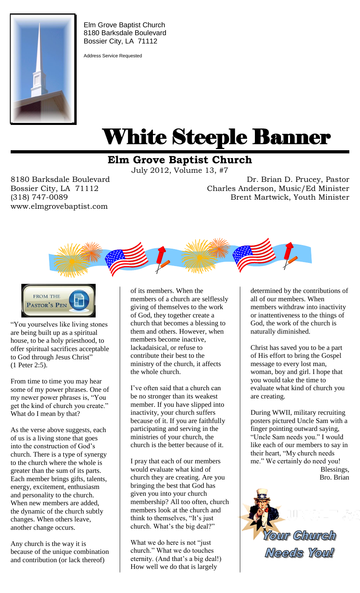

Elm Grove Baptist Church 8180 Barksdale Boulevard Bossier City, LA 71112

Address Service Requested

# White Steeple Banner ı

## **Elm Grove Baptist Church**

July 2012, Volume 13, #7

Bossier City, LA 71112 www.elmgrovebaptist.com

8180 Barksdale Boulevard Dr. Brian Pruc rucey, Pastor Dr. Brian D. Prucey, Pastor (318) 747-0089 Brent Martwick, Youth Minister Brent Martwick, Youth Minister Charles Anderson, Music/Ed Minister





"You yourselves like living stones are being built up as a spiritual house, to be a holy priesthood, to offer spiritual sacrifices acceptable to God through Jesus Christ" (1 Peter 2:5).

From time to time you may hear some of my power phrases. One of my newer power phrases is, "You get the kind of church you create." What do I mean by that?

As the verse above suggests, each of us is a living stone that goes into the construction of God's church. There is a type of synergy to the church where the whole is greater than the sum of its parts. Each member brings gifts, talents, energy, excitement, enthusiasm and personality to the church. When new members are added, the dynamic of the church subtly changes. When others leave, another change occurs.

Any church is the way it is because of the unique combination and contribution (or lack thereof)

of its members. When the members of a church are selflessly giving of themselves to the work of God, they together create a church that becomes a blessing to them and others. However, when members become inactive, lackadaisical, or refuse to contribute their best to the ministry of the church, it affects the whole church.

I've often said that a church can be no stronger than its weakest member. If you have slipped into inactivity, your church suffers because of it. If you are faithfully participating and serving in the ministries of your church, the church is the better because of it.

I pray that each of our members would evaluate what kind of church they are creating. Are you bringing the best that God has given you into your church membership? All too often, church members look at the church and think to themselves, "It's just church. What's the big deal?"

What we do here is not "just church." What we do touches eternity. (And that's a big deal!) How well we do that is largely

determined by the contributions of all of our members. When members withdraw into inactivity or inattentiveness to the things of God, the work of the church is naturally diminished.

Christ has saved you to be a part of His effort to bring the Gospel message to every lost man, woman, boy and girl. I hope that you would take the time to evaluate what kind of church you are creating.

During WWII, military recruiting posters pictured Uncle Sam with a finger pointing outward saying, "Uncle Sam needs you." I would like each of our members to say in their heart, "My church needs me." We certainly do need you! Blessings, Bro. Brian